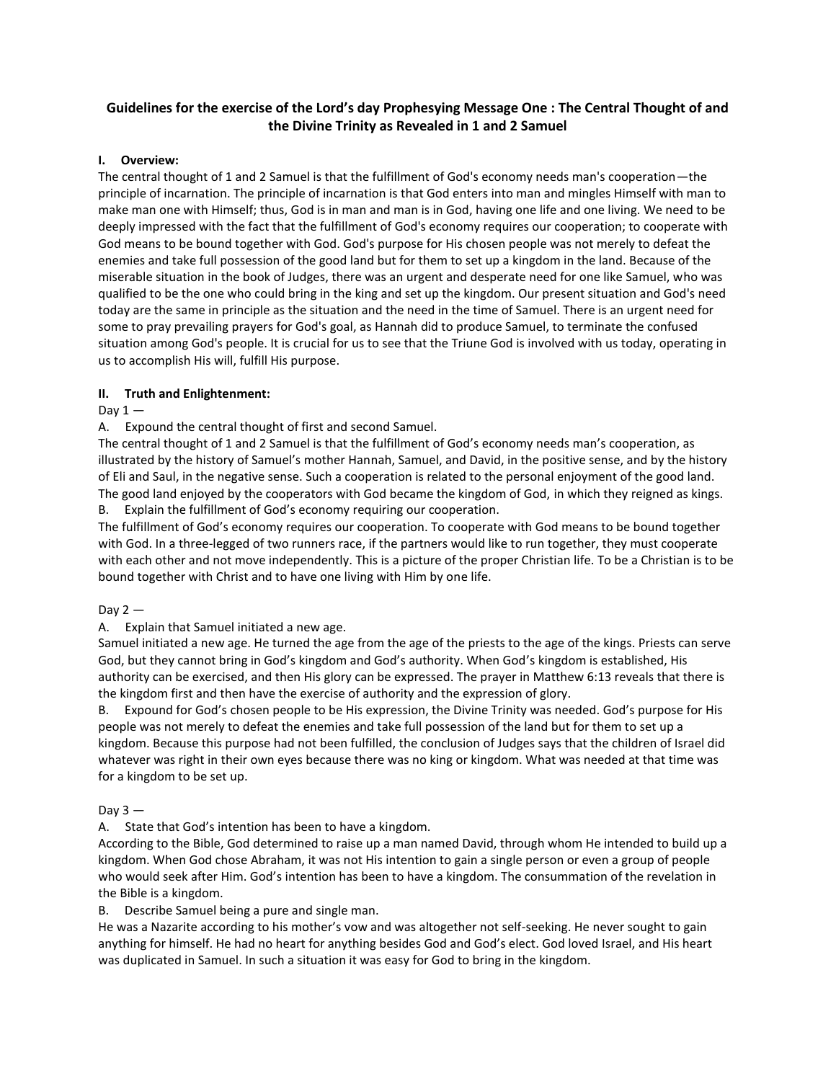# **Guidelines for the exercise of the Lord's day Prophesying Message One : The Central Thought of and the Divine Trinity as Revealed in 1 and 2 Samuel**

#### **I. Overview:**

The central thought of 1 and 2 Samuel is that the fulfillment of God's economy needs man's cooperation—the principle of incarnation. The principle of incarnation is that God enters into man and mingles Himself with man to make man one with Himself; thus, God is in man and man is in God, having one life and one living. We need to be deeply impressed with the fact that the fulfillment of God's economy requires our cooperation; to cooperate with God means to be bound together with God. God's purpose for His chosen people was not merely to defeat the enemies and take full possession of the good land but for them to set up a kingdom in the land. Because of the miserable situation in the book of Judges, there was an urgent and desperate need for one like Samuel, who was qualified to be the one who could bring in the king and set up the kingdom. Our present situation and God's need today are the same in principle as the situation and the need in the time of Samuel. There is an urgent need for some to pray prevailing prayers for God's goal, as Hannah did to produce Samuel, to terminate the confused situation among God's people. It is crucial for us to see that the Triune God is involved with us today, operating in us to accomplish His will, fulfill His purpose.

#### **II. Truth and Enlightenment:**

#### Day  $1 -$

A. Expound the central thought of first and second Samuel.

The central thought of 1 and 2 Samuel is that the fulfillment of God's economy needs man's cooperation, as illustrated by the history of Samuel's mother Hannah, Samuel, and David, in the positive sense, and by the history of Eli and Saul, in the negative sense. Such a cooperation is related to the personal enjoyment of the good land. The good land enjoyed by the cooperators with God became the kingdom of God, in which they reigned as kings.

B. Explain the fulfillment of God's economy requiring our cooperation.

The fulfillment of God's economy requires our cooperation. To cooperate with God means to be bound together with God. In a three-legged of two runners race, if the partners would like to run together, they must cooperate with each other and not move independently. This is a picture of the proper Christian life. To be a Christian is to be bound together with Christ and to have one living with Him by one life.

## Day  $2-$

## A. Explain that Samuel initiated a new age.

Samuel initiated a new age. He turned the age from the age of the priests to the age of the kings. Priests can serve God, but they cannot bring in God's kingdom and God's authority. When God's kingdom is established, His authority can be exercised, and then His glory can be expressed. The prayer in Matthew 6:13 reveals that there is the kingdom first and then have the exercise of authority and the expression of glory.

B. Expound for God's chosen people to be His expression, the Divine Trinity was needed. God's purpose for His people was not merely to defeat the enemies and take full possession of the land but for them to set up a kingdom. Because this purpose had not been fulfilled, the conclusion of Judges says that the children of Israel did whatever was right in their own eyes because there was no king or kingdom. What was needed at that time was for a kingdom to be set up.

#### Day  $3 -$

A. State that God's intention has been to have a kingdom.

According to the Bible, God determined to raise up a man named David, through whom He intended to build up a kingdom. When God chose Abraham, it was not His intention to gain a single person or even a group of people who would seek after Him. God's intention has been to have a kingdom. The consummation of the revelation in the Bible is a kingdom.

B. Describe Samuel being a pure and single man.

He was a Nazarite according to his mother's vow and was altogether not self-seeking. He never sought to gain anything for himself. He had no heart for anything besides God and God's elect. God loved Israel, and His heart was duplicated in Samuel. In such a situation it was easy for God to bring in the kingdom.